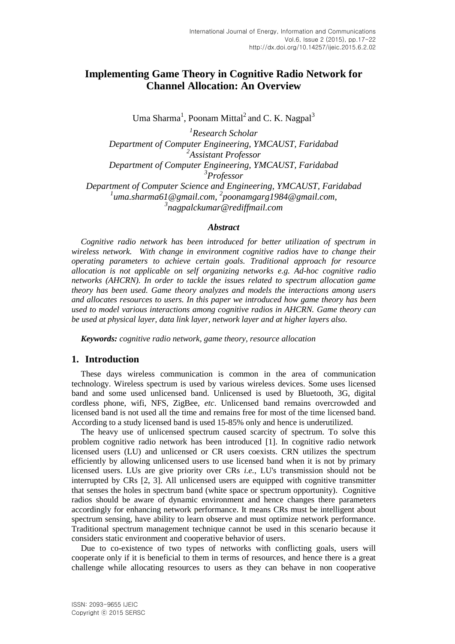# **Implementing Game Theory in Cognitive Radio Network for Channel Allocation: An Overview**

Uma Sharma<sup>1</sup>, Poonam Mittal<sup>2</sup> and C. K. Nagpal<sup>3</sup>

*1 Research Scholar Department of Computer Engineering, YMCAUST, Faridabad 2 Assistant Professor Department of Computer Engineering, YMCAUST, Faridabad 3 Professor Department of Computer Science and Engineering, YMCAUST, Faridabad* <sup>1</sup>uma.sharma61@gmail.com, <sup>2</sup>poonamgarg1984@gmail.com,

*3 nagpalckumar@rediffmail.com*

#### *Abstract*

*Cognitive radio network has been introduced for better utilization of spectrum in wireless network. With change in environment cognitive radios have to change their operating parameters to achieve certain goals. Traditional approach for resource allocation is not applicable on self organizing networks e.g. Ad-hoc cognitive radio networks (AHCRN). In order to tackle the issues related to spectrum allocation game theory has been used. Game theory analyzes and models the interactions among users and allocates resources to users. In this paper we introduced how game theory has been used to model various interactions among cognitive radios in AHCRN. Game theory can be used at physical layer, data link layer, network layer and at higher layers also.*

*Keywords: cognitive radio network, game theory, resource allocation*

### **1. Introduction**

These days wireless communication is common in the area of communication technology. Wireless spectrum is used by various wireless devices. Some uses licensed band and some used unlicensed band. Unlicensed is used by Bluetooth, 3G, digital cordless phone, wifi, NFS, ZigBee, *etc*. Unlicensed band remains overcrowded and licensed band is not used all the time and remains free for most of the time licensed band. According to a study licensed band is used 15-85% only and hence is underutilized.

The heavy use of unlicensed spectrum caused scarcity of spectrum. To solve this problem cognitive radio network has been introduced [1]. In cognitive radio network licensed users (LU) and unlicensed or CR users coexists. CRN utilizes the spectrum efficiently by allowing unlicensed users to use licensed band when it is not by primary licensed users. LUs are give priority over CRs *i.e.*, LU's transmission should not be interrupted by CRs [2, 3]. All unlicensed users are equipped with cognitive transmitter that senses the holes in spectrum band (white space or spectrum opportunity). Cognitive radios should be aware of dynamic environment and hence changes there parameters accordingly for enhancing network performance. It means CRs must be intelligent about spectrum sensing, have ability to learn observe and must optimize network performance. Traditional spectrum management technique cannot be used in this scenario because it considers static environment and cooperative behavior of users.

Due to co-existence of two types of networks with conflicting goals, users will cooperate only if it is beneficial to them in terms of resources, and hence there is a great challenge while allocating resources to users as they can behave in non cooperative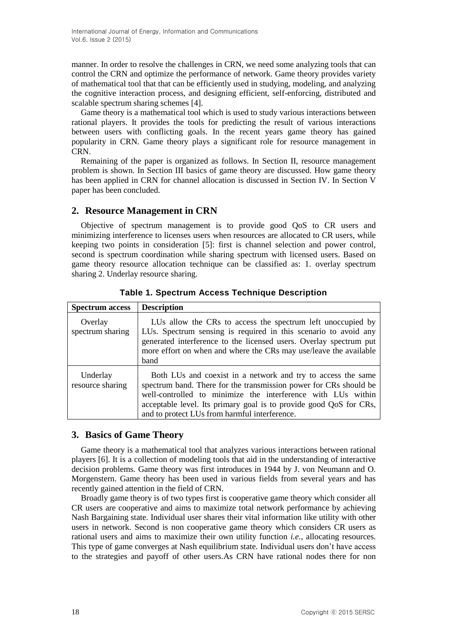manner. In order to resolve the challenges in CRN, we need some analyzing tools that can control the CRN and optimize the performance of network. Game theory provides variety of mathematical tool that that can be efficiently used in studying, modeling, and analyzing the cognitive interaction process, and designing efficient, self-enforcing, distributed and scalable spectrum sharing schemes [4].

Game theory is a mathematical tool which is used to study various interactions between rational players. It provides the tools for predicting the result of various interactions between users with conflicting goals. In the recent years game theory has gained popularity in CRN. Game theory plays a significant role for resource management in CRN.

Remaining of the paper is organized as follows. In Section II, resource management problem is shown. In Section III basics of game theory are discussed. How game theory has been applied in CRN for channel allocation is discussed in Section IV. In Section V paper has been concluded.

## **2. Resource Management in CRN**

Objective of spectrum management is to provide good QoS to CR users and minimizing interference to licenses users when resources are allocated to CR users, while keeping two points in consideration [5]: first is channel selection and power control, second is spectrum coordination while sharing spectrum with licensed users. Based on game theory resource allocation technique can be classified as: 1. overlay spectrum sharing 2. Underlay resource sharing.

| <b>Spectrum access</b>       | <b>Description</b>                                                                                                                                                                                                                                                                                                       |
|------------------------------|--------------------------------------------------------------------------------------------------------------------------------------------------------------------------------------------------------------------------------------------------------------------------------------------------------------------------|
| Overlay<br>spectrum sharing  | LUs allow the CRs to access the spectrum left unoccupied by<br>LUs. Spectrum sensing is required in this scenario to avoid any<br>generated interference to the licensed users. Overlay spectrum put<br>more effort on when and where the CRs may use/leave the available<br>band                                        |
| Underlay<br>resource sharing | Both LUs and coexist in a network and try to access the same<br>spectrum band. There for the transmission power for CRs should be<br>well-controlled to minimize the interference with LUs within<br>acceptable level. Its primary goal is to provide good QoS for CRs,<br>and to protect LUs from harmful interference. |

**Table 1. Spectrum Access Technique Description**

## **3. Basics of Game Theory**

Game theory is a mathematical tool that analyzes various interactions between rational players [6]. It is a collection of modeling tools that aid in the understanding of interactive decision problems. Game theory was first introduces in 1944 by J. von Neumann and O. Morgenstern. Game theory has been used in various fields from several years and has recently gained attention in the field of CRN.

Broadly game theory is of two types first is cooperative game theory which consider all CR users are cooperative and aims to maximize total network performance by achieving Nash Bargaining state. Individual user shares their vital information like utility with other users in network. Second is non cooperative game theory which considers CR users as rational users and aims to maximize their own utility function *i.e.*, allocating resources. This type of game converges at Nash equilibrium state. Individual users don't have access to the strategies and payoff of other users.As CRN have rational nodes there for non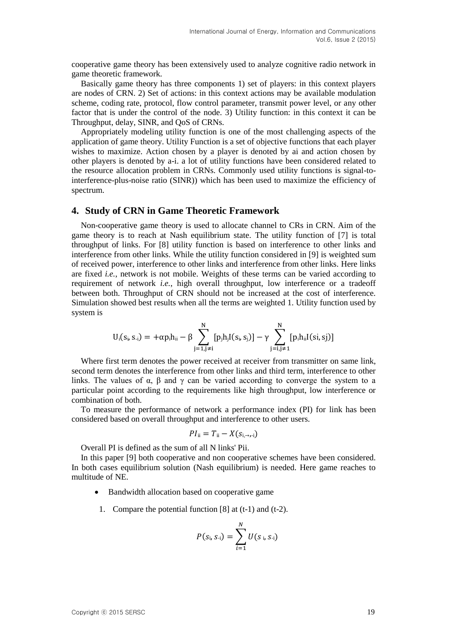cooperative game theory has been extensively used to analyze cognitive radio network in game theoretic framework.

Basically game theory has three components 1) set of players: in this context players are nodes of CRN. 2) Set of actions: in this context actions may be available modulation scheme, coding rate, protocol, flow control parameter, transmit power level, or any other factor that is under the control of the node. 3) Utility function: in this context it can be Throughput, delay, SINR, and QoS of CRNs.

Appropriately modeling utility function is one of the most challenging aspects of the application of game theory. Utility Function is a set of objective functions that each player wishes to maximize. Action chosen by a player is denoted by ai and action chosen by other players is denoted by a-i. a lot of utility functions have been considered related to the resource allocation problem in CRNs. Commonly used utility functions is signal-tointerference-plus-noise ratio (SINR)) which has been used to maximize the efficiency of spectrum.

#### **4. Study of CRN in Game Theoretic Framework**

Non-cooperative game theory is used to allocate channel to CRs in CRN. Aim of the game theory is to reach at Nash equilibrium state. The utility function of [7] is total throughput of links. For [8] utility function is based on interference to other links and interference from other links. While the utility function considered in [9] is weighted sum of received power, interference to other links and interference from other links. Here links are fixed *i.e.*, network is not mobile. Weights of these terms can be varied according to requirement of network *i.e.*, high overall throughput, low interference or a tradeoff between both. Throughput of CRN should not be increased at the cost of interference. Simulation showed best results when all the terms are weighted 1. Utility function used by system is

$$
U_i(s_i,s_{\cdot i})=+\alpha p_ih_{ii}-\beta \sum_{j=1,j\neq i}^N[p_jh_jI(s_i,s_j)]-\gamma \sum_{j=1,j\neq 1}^N[p_ih_{ii}I(si,sj)]
$$

Where first term denotes the power received at receiver from transmitter on same link, second term denotes the interference from other links and third term, interference to other links. The values of  $\alpha$ ,  $\beta$  and  $\gamma$  can be varied according to converge the system to a particular point according to the requirements like high throughput, low interference or combination of both.

To measure the performance of network a performance index (PI) for link has been considered based on overall throughput and interference to other users.

$$
PI_{\rm ii}=T_{\rm ii}-X(s_{\rm i, \rightarrow, \rm -i})
$$

Overall PI is defined as the sum of all N links' Pii.

In this paper [9] both cooperative and non cooperative schemes have been considered. In both cases equilibrium solution (Nash equilibrium) is needed. Here game reaches to multitude of NE.

- Bandwidth allocation based on cooperative game
- 1. Compare the potential function [8] at (t-1) and (t-2).

$$
P(s_i, s_{-i}) = \sum_{i=1}^{N} U(s_i, s_{-i})
$$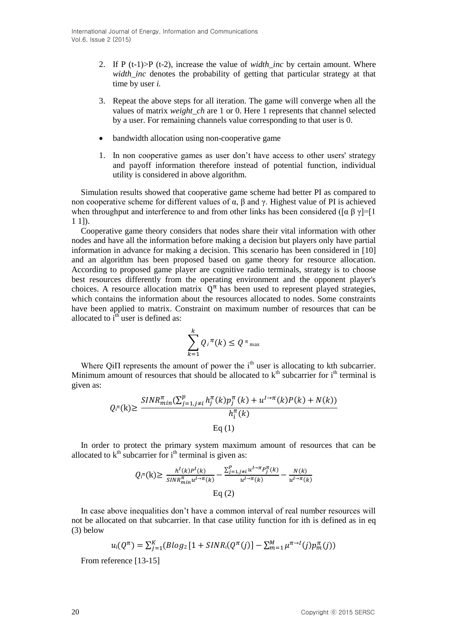- 2. If P (t-1)>P (t-2), increase the value of *width\_inc* by certain amount. Where *width inc* denotes the probability of getting that particular strategy at that time by user *i.*
- 3. Repeat the above steps for all iteration. The game will converge when all the values of matrix *weight\_ch* are 1 or 0. Here 1 represents that channel selected by a user. For remaining channels value corresponding to that user is 0.
- bandwidth allocation using non-cooperative game
- 1. In non cooperative games as user don't have access to other users' strategy and payoff information therefore instead of potential function, individual utility is considered in above algorithm.

Simulation results showed that cooperative game scheme had better PI as compared to non cooperative scheme for different values of α, β and γ. Highest value of PI is achieved when throughput and interference to and from other links has been considered ([ $\alpha \beta \gamma$ ]=[1] 1 1]).

Cooperative game theory considers that nodes share their vital information with other nodes and have all the information before making a decision but players only have partial information in advance for making a decision. This scenario has been considered in [10] and an algorithm has been proposed based on game theory for resource allocation. According to proposed game player are cognitive radio terminals, strategy is to choose best resources differently from the operating environment and the opponent player's choices. A resource allocation matrix  $Q^{\pi}$  has been used to represent played strategies, which contains the information about the resources allocated to nodes. Some constraints have been applied to matrix. Constraint on maximum number of resources that can be allocated to  $i<sup>th</sup>$  user is defined as:

$$
\sum_{k=1}^k Q_i^{\pi}(k) \le Q^{\pi_{\max}}
$$

Where Qi $\Pi$  represents the amount of power the i<sup>th</sup> user is allocating to kth subcarrier. Minimum amount of resources that should be allocated to  $k<sup>th</sup>$  subcarrier for  $i<sup>th</sup>$  terminal is given as:

$$
Q_i \cdot (\mathbf{k}) \ge \frac{SINR_{min}^{\pi}(\sum_{j=1,j\neq i}^{p} h_j^{\pi}(k) p_j^{\pi}(k) + u^{1\to\pi}(k) P(k) + N(k))}{h_i^{\pi}(k)}
$$
  
Eq (1)

In order to protect the primary system maximum amount of resources that can be allocated to  $k<sup>th</sup>$  subcarrier for  $i<sup>th</sup>$  terminal is given as:

$$
Q_i^{\pi}(k) \ge \frac{h^l(k)P^l(k)}{SINR_{min}^{\pi}u^{l \to \pi}(k)} - \frac{\sum_{j=1, j \neq i}^{P} u^{l \to \pi}P_j^{\pi}(k)}{u^{l \to \pi}(k)} - \frac{N(k)}{u^{l \to \pi}(k)}
$$
  
Eq (2)

In case above inequalities don't have a common interval of real number resources will not be allocated on that subcarrier. In that case utility function for ith is defined as in eq (3) below

$$
u_i(Q^{\pi}) = \sum_{j=1}^K (Blog_2[1 + SINR_i(Q^{\pi}(j)) - \sum_{m=1}^M \mu^{\pi \to I}(j)p_m^{\pi}(j))
$$

From reference [13-15]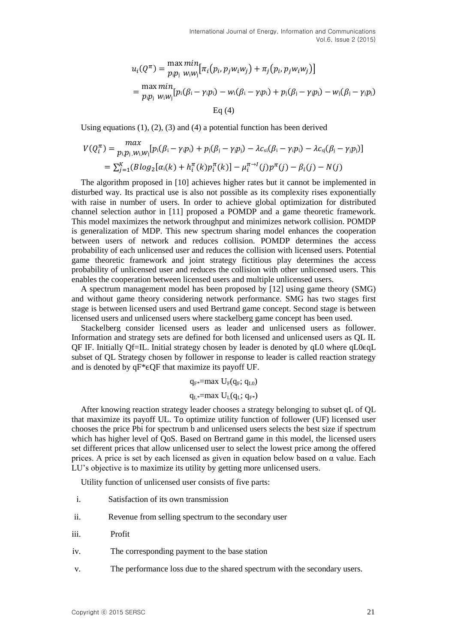$$
u_i(Q^{\pi}) = \frac{\max \min}{p_i p_j} [ \pi_i (p_i, p_j w_i w_j) + \pi_j (p_i, p_j w_i w_j) ]
$$
  
= 
$$
\frac{\max \min}{p_i p_j} [ p_i(\beta_i - \gamma_i p_i) - w_i(\beta_i - \gamma_i p_i) + p_j(\beta_j - \gamma_j p_j) - w_j(\beta_j - \gamma_j p_j) ]
$$
  
Eq (4)

Using equations  $(1)$ ,  $(2)$ ,  $(3)$  and  $(4)$  a potential function has been derived

$$
V(Q_i^{\pi}) = \max_{p_i, p_j, w_i, w_j} [p_i(\beta_i - \gamma_i p_i) + p_j(\beta_j - \gamma_j p_j) - \lambda c_{si}(\beta_i - \gamma_i p_i) - \lambda c_{si}(\beta_j - \gamma_j p_j)]
$$
  
=  $\sum_{j=1}^{K} (B \log_2 [\alpha_i(k) + h_i^{\pi}(k) p_i^{\pi}(k)] - \mu_i^{\pi \to I}(j) p^{\pi}(j) - \beta_i(j) - N(j)$ 

The algorithm proposed in [10] achieves higher rates but it cannot be implemented in disturbed way. Its practical use is also not possible as its complexity rises exponentially with raise in number of users. In order to achieve global optimization for distributed channel selection author in [11] proposed a POMDP and a game theoretic framework. This model maximizes the network throughput and minimizes network collision. POMDP is generalization of MDP. This new spectrum sharing model enhances the cooperation between users of network and reduces collision. POMDP determines the access probability of each unlicensed user and reduces the collision with licensed users. Potential game theoretic framework and joint strategy fictitious play determines the access probability of unlicensed user and reduces the collision with other unlicensed users. This enables the cooperation between licensed users and multiple unlicensed users.

A spectrum management model has been proposed by [12] using game theory (SMG) and without game theory considering network performance. SMG has two stages first stage is between licensed users and used Bertrand game concept. Second stage is between licensed users and unlicensed users where stackelberg game concept has been used.

Stackelberg consider licensed users as leader and unlicensed users as follower. Information and strategy sets are defined for both licensed and unlicensed users as QL IL QF IF. Initially Qf=IL. Initial strategy chosen by leader is denoted by qL0 where qL0ϵqL subset of QL Strategy chosen by follower in response to leader is called reaction strategy and is denoted by  $qF^* \in QF$  that maximize its payoff UF.

> $q_F = max U_F(q_F; q_{L0})$  $q_{L*}=max U_{L}(q_{L}; q_{F*})$

After knowing reaction strategy leader chooses a strategy belonging to subset qL of QL that maximize its payoff UL. To optimize utility function of follower (UF) licensed user chooses the price Pbi for spectrum b and unlicensed users selects the best size if spectrum which has higher level of QoS. Based on Bertrand game in this model, the licensed users set different prices that allow unlicensed user to select the lowest price among the offered prices. A price is set by each licensed as given in equation below based on α value. Each LU's objective is to maximize its utility by getting more unlicensed users.

Utility function of unlicensed user consists of five parts:

- i. Satisfaction of its own transmission
- ii. Revenue from selling spectrum to the secondary user
- iii. Profit
- iv. The corresponding payment to the base station
- v. The performance loss due to the shared spectrum with the secondary users.